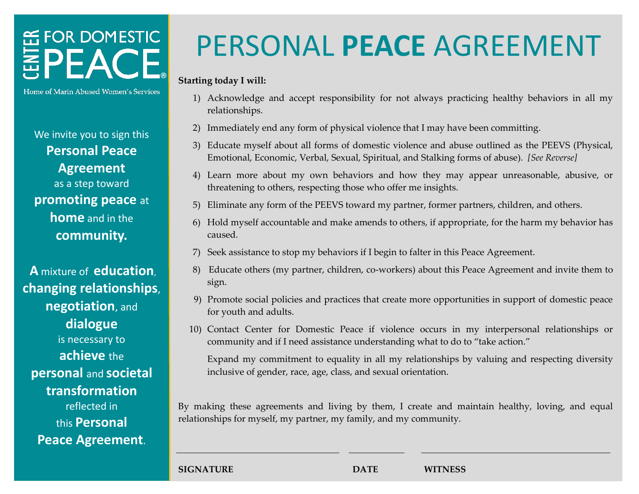## HE FOR DOMESTIC ®

Home of Marin Abused Women's Services

We invite you to sign this **Personal Peace Agreement** as a step toward **promoting peace** at **home** and in the **community.**

**A** mixture of **education**, **changing relationships**, **negotiation**, and **dialogue** is necessary to **achieve** the **personal** and **societal transformation** reflected in this **Personal Peace Agreement**.

## PERSONAL **PEACE** AGREEMENT

**Starting today I will:**

- 1) Acknowledge and accept responsibility for not always practicing healthy behaviors in all my relationships.
- 2) Immediately end any form of physical violence that I may have been committing.
- 3) Educate myself about all forms of domestic violence and abuse outlined as the PEEVS (Physical, Emotional, Economic, Verbal, Sexual, Spiritual, and Stalking forms of abuse). *[See Reverse]*
- 4) Learn more about my own behaviors and how they may appear unreasonable, abusive, or threatening to others, respecting those who offer me insights.
- 5) Eliminate any form of the PEEVS toward my partner, former partners, children, and others.
- 6) Hold myself accountable and make amends to others, if appropriate, for the harm my behavior has caused.
- 7) Seek assistance to stop my behaviors if I begin to falter in this Peace Agreement.
- 8) Educate others (my partner, children, co-workers) about this Peace Agreement and invite them to sign.
- 9) Promote social policies and practices that create more opportunities in support of domestic peace for youth and adults.
- 10) Contact Center for Domestic Peace if violence occurs in my interpersonal relationships or community and if I need assistance understanding what to do to "take action."

Expand my commitment to equality in all my relationships by valuing and respecting diversity inclusive of gender, race, age, class, and sexual orientation.

By making these agreements and living by them, I create and maintain healthy, loving, and equal relationships for myself, my partner, my family, and my community.

**SIGNATURE DATE WITNESS**